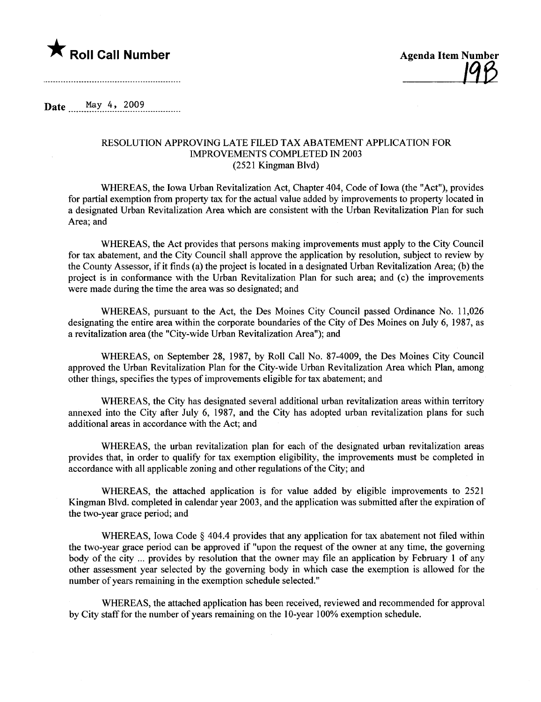



Date May 4, 2009

## RESOLUTION APPROVING LATE FILED TAX ABATEMENT APPLICATION FOR IMROVEMENTS COMPLETED IN 2003 (2521 Kingman Blvd)

WHEREAS, the Iowa Urban Revitalization Act, Chapter 404, Code of Iowa (the "Act"), provides for partial exemption from property tax for the actual value added by improvements to property located in a designated Urban Revitalization Area which are consistent with the Urban Revitalization Plan for such Area; and

WHREAS, the Act provides that persons making improvements must apply to the City Council for tax abatement, and the City Council shall approve the application by resolution, subject to review by the County Assessor, if it finds (a) the project is located in a designated Urban Revitalization Area; (b) the project is in conformance with the Urban Revitalization Plan for such area; and (c) the improvements were made during the time the area was so designated; and

WHREAS, pursuant to the Act, the Des Moines City Council passed Ordinance No. 11,026 designating the entire area within the corporate boundaries of the City of Des Moines on July 6, 1987, as a revitalization area (the "City-wide Urban Revitalization Area"); and

WHREAS, on September 28, 1987, by Roll Call No. 87-4009, the Des Moines City Council approved the Urban Revitalization Plan for the City-wide Urban Revitalization Area which Plan, among other things, specifies the types of improvements eligible for tax abatement; and

WHEREAS, the City has designated several additional urban revitalization areas within territory annexed into the City after July 6, 1987, and the City has adopted urban revitalization plans for such additional areas in accordance with the Act; and

WHREAS, the urban revitalization plan for each of the designated urban revitalization areas provides that, in order to qualify for tax exemption eligibilty, the improvements must be completed in accordance with all applicable zoning and other regulations of the City; and

WHREAS, the attached application is for value added by eligible improvements to 2521 Kingman Blvd. completed in calendar year 2003, and the application was submitted after the expiration of the two-year grace period; and

WHEREAS, Iowa Code § 404.4 provides that any application for tax abatement not filed within the two-year grace period can be approved if "upon the request of the owner at any time, the governing body of the city ... provides by resolution that the owner may file an application by February 1 of any other assessment year selected by the governing body in which case the exemption is allowed for the number of years remaining in the exemption schedule selected."

WHREAS, the attached application has been received, reviewed and recommended for approval by City staff for the number of years remaining on the 10-year 100% exemption schedule.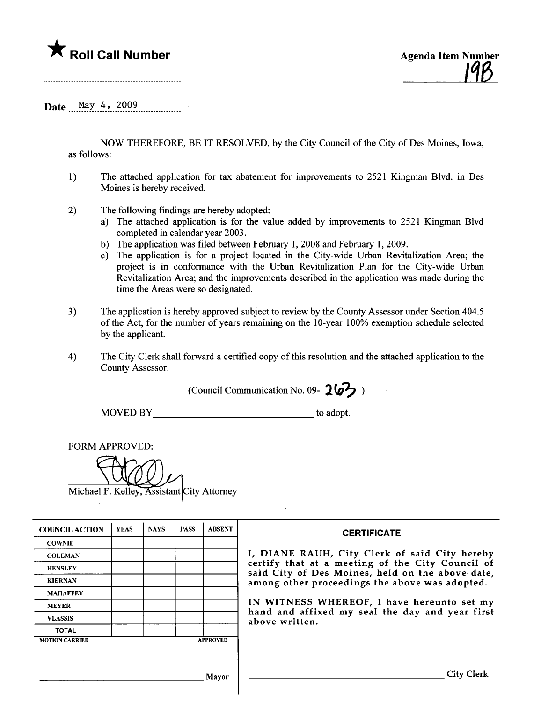## $\blacktriangledown$  Roll Call Number



Date May 4, 2009

NOW THEREFORE, BE IT RESOLVED, by the City Council of the City of Des Moines, Iowa, as follows:

- 1) The attached application for tax abatement for improvements to 2521 Kingman Blvd. in Des Moines is hereby received.
- 2) The following findings are hereby adopted:
	- a) The attached application is for the value added by improvements to 2521 Kingman Blvd completed in calendar year 2003.
	- b) The application was fied between February 1,2008 and February 1,2009.
	- c) The application is for a project located in the City-wide Urban Revitalization Area; the project is in conformance with the Urban Revitalization Plan for the City-wide Urban Revitalization Area; and the improvements described in the application was made during the time the Areas were so designated.
- 3) The application is hereby approved subject to review by the County Assessor under Section 404.5 of the Act, for the number of years remaining on the 10-year 100% exemption schedule selected by the applicant.
- 4) The City Clerk shall forward a certified copy of this resolution and the attached application to the County Assessor.

(Council Communication No. 09-  $26$ 

MOVED BY to adopt.

FORM APPROVED:

Michael F. Kelley, Assistant City Attorney

| <b>COUNCIL ACTION</b> | <b>YEAS</b> | <b>NAYS</b> | <b>PASS</b> | <b>ABSENT</b>   | <b>CERTIFICATE</b>                                                                                   |  |  |  |
|-----------------------|-------------|-------------|-------------|-----------------|------------------------------------------------------------------------------------------------------|--|--|--|
| <b>COWNIE</b>         |             |             |             |                 |                                                                                                      |  |  |  |
| <b>COLEMAN</b>        |             |             |             |                 | I, DIANE RAUH, City Clerk of said City hereby                                                        |  |  |  |
| <b>HENSLEY</b>        |             |             |             |                 | certify that at a meeting of the City Council of<br>said City of Des Moines, held on the above date, |  |  |  |
| <b>KIERNAN</b>        |             |             |             |                 | among other proceedings the above was adopted.                                                       |  |  |  |
| <b>MAHAFFEY</b>       |             |             |             |                 |                                                                                                      |  |  |  |
| <b>MEYER</b>          |             |             |             |                 | IN WITNESS WHEREOF, I have hereunto set my                                                           |  |  |  |
| <b>VLASSIS</b>        |             |             |             |                 | hand and affixed my seal the day and year first<br>above written.                                    |  |  |  |
| <b>TOTAL</b>          |             |             |             |                 |                                                                                                      |  |  |  |
| <b>MOTION CARRIED</b> |             |             |             | <b>APPROVED</b> |                                                                                                      |  |  |  |
|                       |             |             |             |                 |                                                                                                      |  |  |  |
|                       |             |             |             |                 |                                                                                                      |  |  |  |
| Mayor                 |             |             |             |                 |                                                                                                      |  |  |  |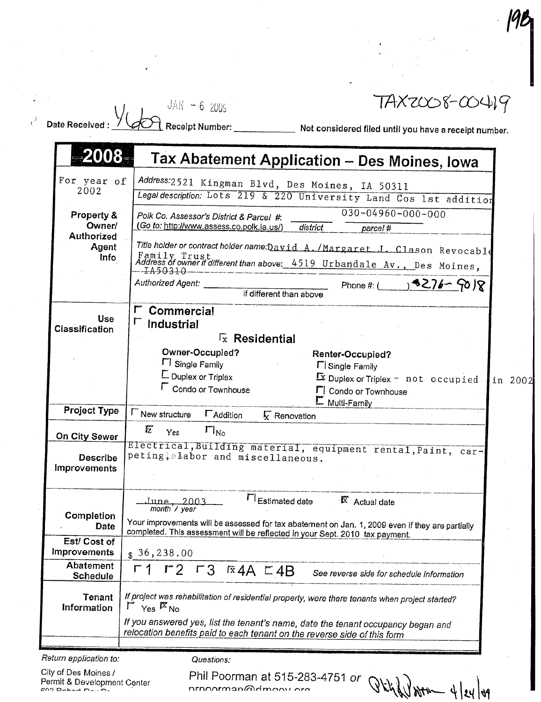|                                 | TAXZ008-00419<br>$JAN - 62005$                                                                                                                               |
|---------------------------------|--------------------------------------------------------------------------------------------------------------------------------------------------------------|
| <b>Date Received</b>            | Receipt Number: Not considered filed until you have a receipt number.                                                                                        |
|                                 |                                                                                                                                                              |
| -2008-                          | Tax Abatement Application - Des Moines, Iowa                                                                                                                 |
| For year of                     | Address:2521 Kingman Blvd, Des Moines, IA 50311                                                                                                              |
| 2002                            | Legal description: Lots 219 & 220 University Land Cos 1st addition                                                                                           |
| Property &                      | $030 - 04960 - 000 - 000$<br>Polk Co. Assessor's District & Parcel #:                                                                                        |
| Owner/                          | (Go to: http://www.assess.co.polk.ia.us/)<br>district<br>parcel#                                                                                             |
| Authorized<br>Agent             | Title holder or contract holder name: David A./Margaret J. Clason Revocable                                                                                  |
| <b>Info</b>                     | Family Trust<br>Address of owner if different than above: 4519 Urbandale Av., Des Moines,                                                                    |
|                                 | IA50310                                                                                                                                                      |
|                                 | $8(59 - 90)$<br>Authorized Agent:<br>Phone #: (<br>if different than above                                                                                   |
|                                 | Commercial                                                                                                                                                   |
| <b>Use</b>                      | $\Gamma$ Industrial                                                                                                                                          |
| Classification                  | $\sqrt{x}$ Residential                                                                                                                                       |
|                                 | Owner-Occupied?<br>Renter-Occupied?                                                                                                                          |
|                                 | <b>FI</b> Single Family<br><b>F</b> Single Family                                                                                                            |
|                                 | Duplex or Triplex<br>$\overline{\mathbf{X}}$ Duplex or Triplex - not occupied.<br>in 2002                                                                    |
|                                 | Condo or Townhouse<br>F Condo or Townhouse<br>E Multi-Family                                                                                                 |
| <b>Project Type</b>             | <b>F</b> New structure<br><b>L</b> Addition<br>$\sqrt{\mathbf{x}}$ Renovation                                                                                |
| On City Sewer                   | 卮<br>$\Gamma _{N_0}$<br>Yes                                                                                                                                  |
|                                 | Electrical, Building material, equipment rental, Paint, car-                                                                                                 |
| <b>Describe</b><br>Improvements | peting; alabor and miscellaneous.                                                                                                                            |
|                                 |                                                                                                                                                              |
|                                 |                                                                                                                                                              |
|                                 | FI Estimated date<br>$\overline{K}$ Actual date<br>June, 2003<br>month'/ year                                                                                |
| Completion<br>Date              | Your improvements will be assessed for tax abatement on Jan. 1, 2009 even if they are partially                                                              |
| Est/ Cost of                    | completed. This assessment will be reflected in your Sept. 2010 tax payment.                                                                                 |
| Improvements                    | \$36,238.00                                                                                                                                                  |
| Abatement                       | $\Gamma$ 1<br>$r2 r3 \times 4A \times 4B$<br>See reverse side for schedule information                                                                       |
| Schedule                        |                                                                                                                                                              |
| Tenant<br><b>Information</b>    | If project was rehabilitation of residential property, were there tenants when project started?<br>$\Gamma$ Yes $R_{\text{No}}$                              |
|                                 |                                                                                                                                                              |
|                                 | If you answered yes, list the tenant's name, date the tenant occupancy began and<br>relocation benefits paid to each tenant on the reverse side of this form |
|                                 |                                                                                                                                                              |

City of Des Moines / Permit & Development Center

Questions:<br>Phil Poorman at 515-283-4751 or  $Q$   $\chi$   $\chi$   $\chi$ 

94